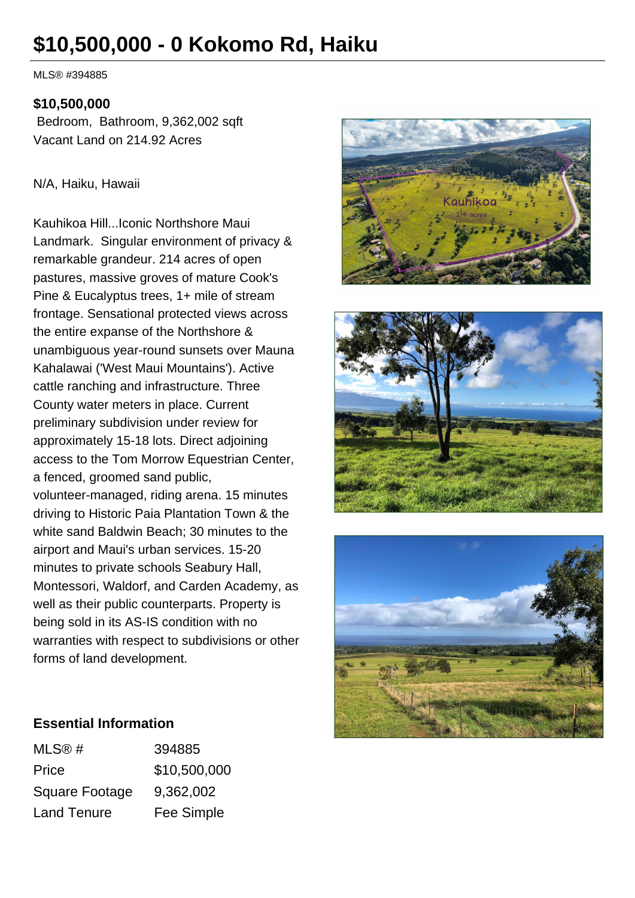# **\$10,500,000 - 0 Kokomo Rd, Haiku**

MLS® #394885

## **\$10,500,000**

 Bedroom, Bathroom, 9,362,002 sqft Vacant Land on 214.92 Acres

#### N/A, Haiku, Hawaii

Kauhikoa Hill...Iconic Northshore Maui Landmark. Singular environment of privacy & remarkable grandeur. 214 acres of open pastures, massive groves of mature Cook's Pine & Eucalyptus trees, 1+ mile of stream frontage. Sensational protected views across the entire expanse of the Northshore & unambiguous year-round sunsets over Mauna Kahalawai ('West Maui Mountains'). Active cattle ranching and infrastructure. Three County water meters in place. Current preliminary subdivision under review for approximately 15-18 lots. Direct adjoining access to the Tom Morrow Equestrian Center, a fenced, groomed sand public, volunteer-managed, riding arena. 15 minutes driving to Historic Paia Plantation Town & the white sand Baldwin Beach; 30 minutes to the airport and Maui's urban services. 15-20 minutes to private schools Seabury Hall, Montessori, Waldorf, and Carden Academy, as well as their public counterparts. Property is being sold in its AS-IS condition with no warranties with respect to subdivisions or other forms of land development.







## **Essential Information**

| MLS@#                 | 394885       |
|-----------------------|--------------|
| Price                 | \$10,500,000 |
| <b>Square Footage</b> | 9,362,002    |
| <b>Land Tenure</b>    | Fee Simple   |